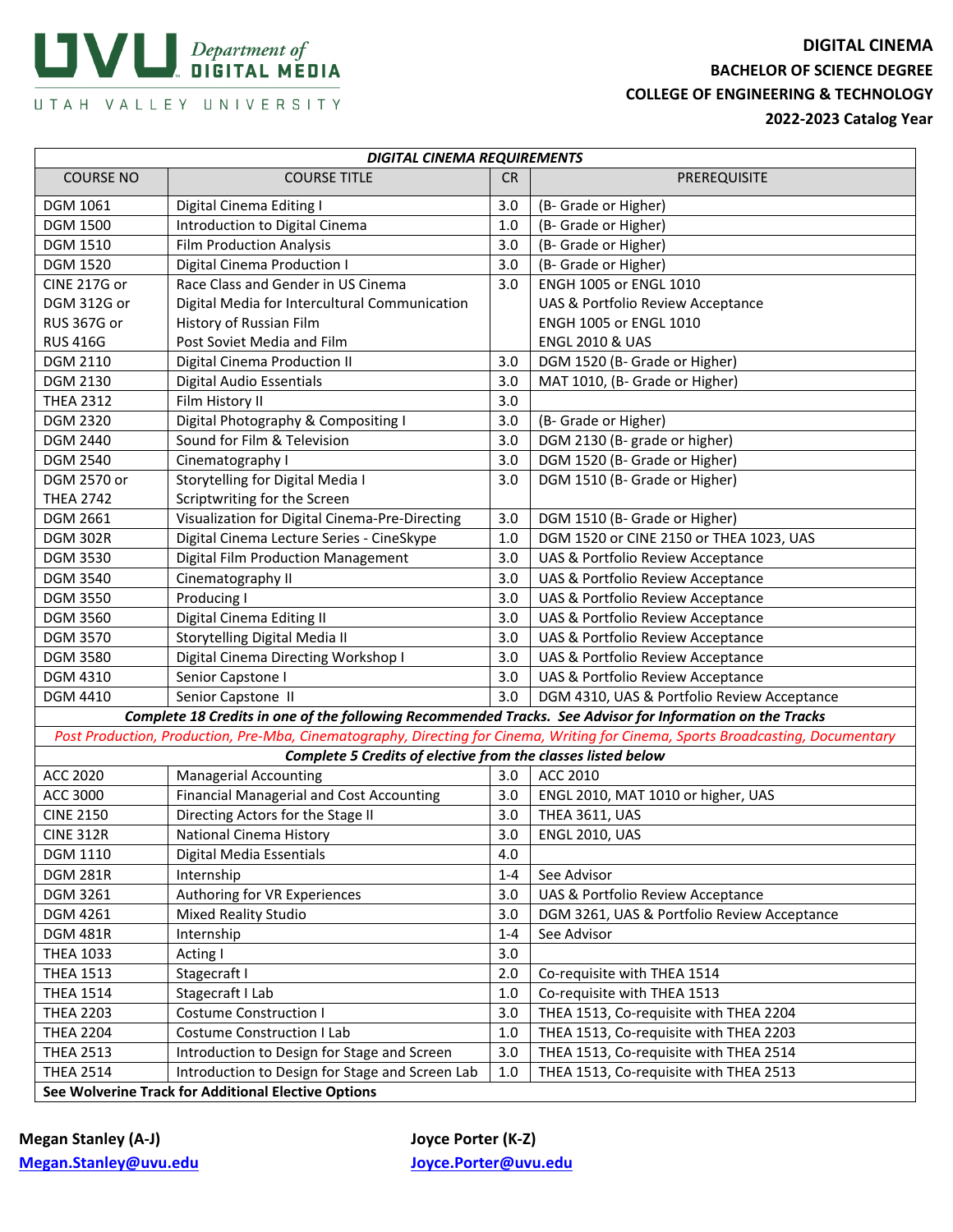## $\blacksquare$  Department of DIGITAL MEDIA

**DIGITAL CINEMA BACHELOR OF SCIENCE DEGREE COLLEGE OF ENGINEERING & TECHNOLOGY** UTAH VALLEY UNIVERSITY<br>2022-2023 Catalog Year

| <b>DIGITAL CINEMA REQUIREMENTS</b>                                                                                               |                                                                                                           |           |                                             |  |  |
|----------------------------------------------------------------------------------------------------------------------------------|-----------------------------------------------------------------------------------------------------------|-----------|---------------------------------------------|--|--|
| <b>COURSE NO</b>                                                                                                                 | <b>COURSE TITLE</b>                                                                                       | <b>CR</b> | PREREQUISITE                                |  |  |
| <b>DGM 1061</b>                                                                                                                  | Digital Cinema Editing I                                                                                  | 3.0       | (B- Grade or Higher)                        |  |  |
| <b>DGM 1500</b>                                                                                                                  | Introduction to Digital Cinema                                                                            | 1.0       | (B- Grade or Higher)                        |  |  |
| <b>DGM 1510</b>                                                                                                                  | <b>Film Production Analysis</b>                                                                           | 3.0       | (B- Grade or Higher)                        |  |  |
| <b>DGM 1520</b>                                                                                                                  | Digital Cinema Production I                                                                               | 3.0       | (B- Grade or Higher)                        |  |  |
| CINE 217G or                                                                                                                     | Race Class and Gender in US Cinema                                                                        | 3.0       | ENGH 1005 or ENGL 1010                      |  |  |
| DGM 312G or                                                                                                                      | Digital Media for Intercultural Communication                                                             |           | UAS & Portfolio Review Acceptance           |  |  |
| <b>RUS 367G or</b>                                                                                                               | History of Russian Film                                                                                   |           | ENGH 1005 or ENGL 1010                      |  |  |
| <b>RUS 416G</b>                                                                                                                  | Post Soviet Media and Film                                                                                |           | <b>ENGL 2010 &amp; UAS</b>                  |  |  |
| DGM 2110                                                                                                                         | Digital Cinema Production II                                                                              | 3.0       | DGM 1520 (B- Grade or Higher)               |  |  |
| DGM 2130                                                                                                                         | <b>Digital Audio Essentials</b>                                                                           | 3.0       | MAT 1010, (B- Grade or Higher)              |  |  |
| <b>THEA 2312</b>                                                                                                                 | Film History II                                                                                           | 3.0       |                                             |  |  |
| <b>DGM 2320</b>                                                                                                                  | Digital Photography & Compositing I                                                                       | 3.0       | (B- Grade or Higher)                        |  |  |
| DGM 2440                                                                                                                         | Sound for Film & Television                                                                               | 3.0       | DGM 2130 (B-grade or higher)                |  |  |
| <b>DGM 2540</b>                                                                                                                  | Cinematography I                                                                                          | 3.0       | DGM 1520 (B- Grade or Higher)               |  |  |
| DGM 2570 or                                                                                                                      | Storytelling for Digital Media I                                                                          | 3.0       | DGM 1510 (B- Grade or Higher)               |  |  |
| <b>THEA 2742</b>                                                                                                                 | Scriptwriting for the Screen                                                                              |           |                                             |  |  |
| DGM 2661                                                                                                                         | Visualization for Digital Cinema-Pre-Directing                                                            | 3.0       | DGM 1510 (B- Grade or Higher)               |  |  |
| <b>DGM 302R</b>                                                                                                                  | Digital Cinema Lecture Series - CineSkype                                                                 | 1.0       | DGM 1520 or CINE 2150 or THEA 1023, UAS     |  |  |
| <b>DGM 3530</b>                                                                                                                  | <b>Digital Film Production Management</b>                                                                 | 3.0       | UAS & Portfolio Review Acceptance           |  |  |
| <b>DGM 3540</b>                                                                                                                  | Cinematography II                                                                                         | 3.0       | UAS & Portfolio Review Acceptance           |  |  |
| <b>DGM 3550</b>                                                                                                                  | Producing I                                                                                               | 3.0       | UAS & Portfolio Review Acceptance           |  |  |
| <b>DGM 3560</b>                                                                                                                  | Digital Cinema Editing II                                                                                 | 3.0       | UAS & Portfolio Review Acceptance           |  |  |
| <b>DGM 3570</b>                                                                                                                  | Storytelling Digital Media II                                                                             | 3.0       | UAS & Portfolio Review Acceptance           |  |  |
| <b>DGM 3580</b>                                                                                                                  | Digital Cinema Directing Workshop I                                                                       | 3.0       | UAS & Portfolio Review Acceptance           |  |  |
| DGM 4310                                                                                                                         | Senior Capstone I                                                                                         | 3.0       | UAS & Portfolio Review Acceptance           |  |  |
| DGM 4410                                                                                                                         | Senior Capstone II                                                                                        | 3.0       | DGM 4310, UAS & Portfolio Review Acceptance |  |  |
|                                                                                                                                  | Complete 18 Credits in one of the following Recommended Tracks. See Advisor for Information on the Tracks |           |                                             |  |  |
| Post Production, Production, Pre-Mba, Cinematography, Directing for Cinema, Writing for Cinema, Sports Broadcasting, Documentary |                                                                                                           |           |                                             |  |  |
|                                                                                                                                  | Complete 5 Credits of elective from the classes listed below                                              |           |                                             |  |  |
| ACC 2020                                                                                                                         | <b>Managerial Accounting</b>                                                                              | 3.0       | ACC 2010                                    |  |  |
| ACC 3000                                                                                                                         | <b>Financial Managerial and Cost Accounting</b>                                                           | 3.0       | ENGL 2010, MAT 1010 or higher, UAS          |  |  |
| <b>CINE 2150</b>                                                                                                                 | Directing Actors for the Stage II                                                                         | 3.0       | THEA 3611, UAS                              |  |  |
| <b>CINE 312R</b>                                                                                                                 | <b>National Cinema History</b>                                                                            | 3.0       | <b>ENGL 2010, UAS</b>                       |  |  |
| DGM 1110                                                                                                                         | Digital Media Essentials                                                                                  | 4.0       |                                             |  |  |
| <b>DGM 281R</b>                                                                                                                  | Internship                                                                                                | $1 - 4$   | See Advisor                                 |  |  |
| DGM 3261                                                                                                                         | Authoring for VR Experiences                                                                              | 3.0       | UAS & Portfolio Review Acceptance           |  |  |
| DGM 4261                                                                                                                         | <b>Mixed Reality Studio</b>                                                                               | 3.0       | DGM 3261, UAS & Portfolio Review Acceptance |  |  |
| <b>DGM 481R</b>                                                                                                                  | Internship                                                                                                | $1 - 4$   | See Advisor                                 |  |  |
| <b>THEA 1033</b>                                                                                                                 | Acting I                                                                                                  | 3.0       |                                             |  |  |
| <b>THEA 1513</b>                                                                                                                 | Stagecraft I                                                                                              | 2.0       | Co-requisite with THEA 1514                 |  |  |
| <b>THEA 1514</b>                                                                                                                 | Stagecraft I Lab                                                                                          | 1.0       | Co-requisite with THEA 1513                 |  |  |
| <b>THEA 2203</b>                                                                                                                 | <b>Costume Construction I</b>                                                                             | 3.0       | THEA 1513, Co-requisite with THEA 2204      |  |  |
| <b>THEA 2204</b>                                                                                                                 | Costume Construction I Lab                                                                                | $1.0\,$   | THEA 1513, Co-requisite with THEA 2203      |  |  |
| <b>THEA 2513</b>                                                                                                                 | Introduction to Design for Stage and Screen                                                               | 3.0       | THEA 1513, Co-requisite with THEA 2514      |  |  |
| <b>THEA 2514</b>                                                                                                                 | Introduction to Design for Stage and Screen Lab                                                           | 1.0       | THEA 1513, Co-requisite with THEA 2513      |  |  |
| See Wolverine Track for Additional Elective Options                                                                              |                                                                                                           |           |                                             |  |  |